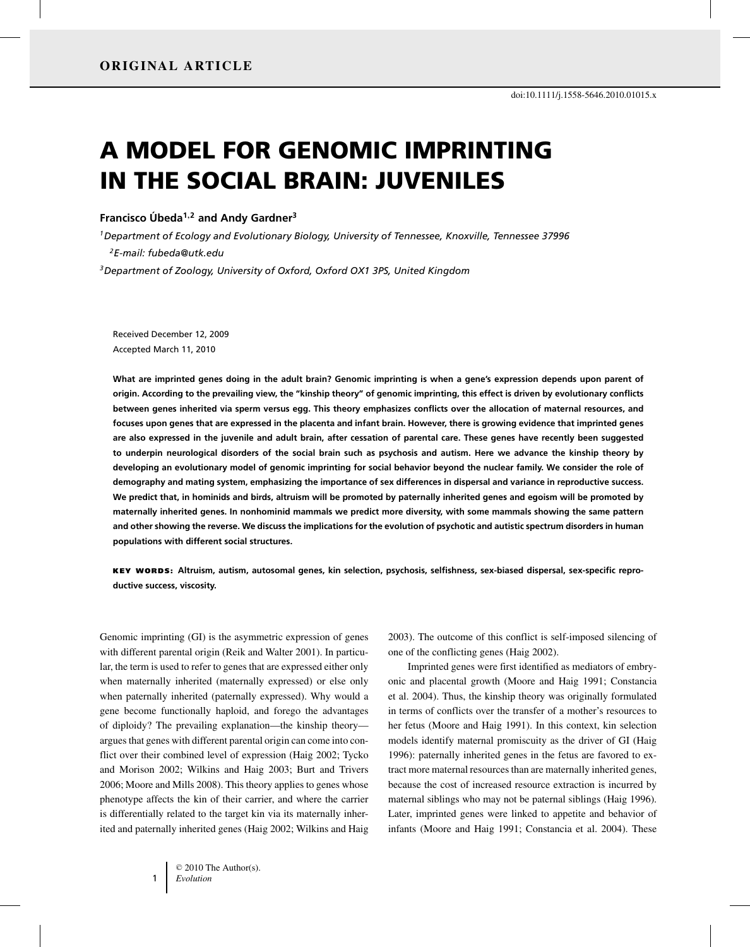# A MODEL FOR GENOMIC IMPRINTING IN THE SOCIAL BRAIN: JUVENILES

# **Francisco Ubeda ´ <sup>1</sup>,<sup>2</sup> and Andy Gardner<sup>3</sup>**

*1Department of Ecology and Evolutionary Biology, University of Tennessee, Knoxville, Tennessee 37996 2E-mail: fubeda@utk.edu 3Department of Zoology, University of Oxford, Oxford OX1 3PS, United Kingdom*

Received December 12, 2009 Accepted March 11, 2010

**What are imprinted genes doing in the adult brain? Genomic imprinting is when a gene's expression depends upon parent of origin. According to the prevailing view, the "kinship theory" of genomic imprinting, this effect is driven by evolutionary conflicts between genes inherited via sperm versus egg. This theory emphasizes conflicts over the allocation of maternal resources, and focuses upon genes that are expressed in the placenta and infant brain. However, there is growing evidence that imprinted genes are also expressed in the juvenile and adult brain, after cessation of parental care. These genes have recently been suggested to underpin neurological disorders of the social brain such as psychosis and autism. Here we advance the kinship theory by developing an evolutionary model of genomic imprinting for social behavior beyond the nuclear family. We consider the role of demography and mating system, emphasizing the importance of sex differences in dispersal and variance in reproductive success. We predict that, in hominids and birds, altruism will be promoted by paternally inherited genes and egoism will be promoted by maternally inherited genes. In nonhominid mammals we predict more diversity, with some mammals showing the same pattern and other showing the reverse. We discuss the implications for the evolution of psychotic and autistic spectrum disorders in human populations with different social structures.**

KEY WORDS: **Altruism, autism, autosomal genes, kin selection, psychosis, selfishness, sex-biased dispersal, sex-specific reproductive success, viscosity.**

Genomic imprinting (GI) is the asymmetric expression of genes with different parental origin (Reik and Walter 2001). In particular, the term is used to refer to genes that are expressed either only when maternally inherited (maternally expressed) or else only when paternally inherited (paternally expressed). Why would a gene become functionally haploid, and forego the advantages of diploidy? The prevailing explanation—the kinship theory argues that genes with different parental origin can come into conflict over their combined level of expression (Haig 2002; Tycko and Morison 2002; Wilkins and Haig 2003; Burt and Trivers 2006; Moore and Mills 2008). This theory applies to genes whose phenotype affects the kin of their carrier, and where the carrier is differentially related to the target kin via its maternally inherited and paternally inherited genes (Haig 2002; Wilkins and Haig 2003). The outcome of this conflict is self-imposed silencing of one of the conflicting genes (Haig 2002).

Imprinted genes were first identified as mediators of embryonic and placental growth (Moore and Haig 1991; Constancia et al. 2004). Thus, the kinship theory was originally formulated in terms of conflicts over the transfer of a mother's resources to her fetus (Moore and Haig 1991). In this context, kin selection models identify maternal promiscuity as the driver of GI (Haig 1996): paternally inherited genes in the fetus are favored to extract more maternal resources than are maternally inherited genes, because the cost of increased resource extraction is incurred by maternal siblings who may not be paternal siblings (Haig 1996). Later, imprinted genes were linked to appetite and behavior of infants (Moore and Haig 1991; Constancia et al. 2004). These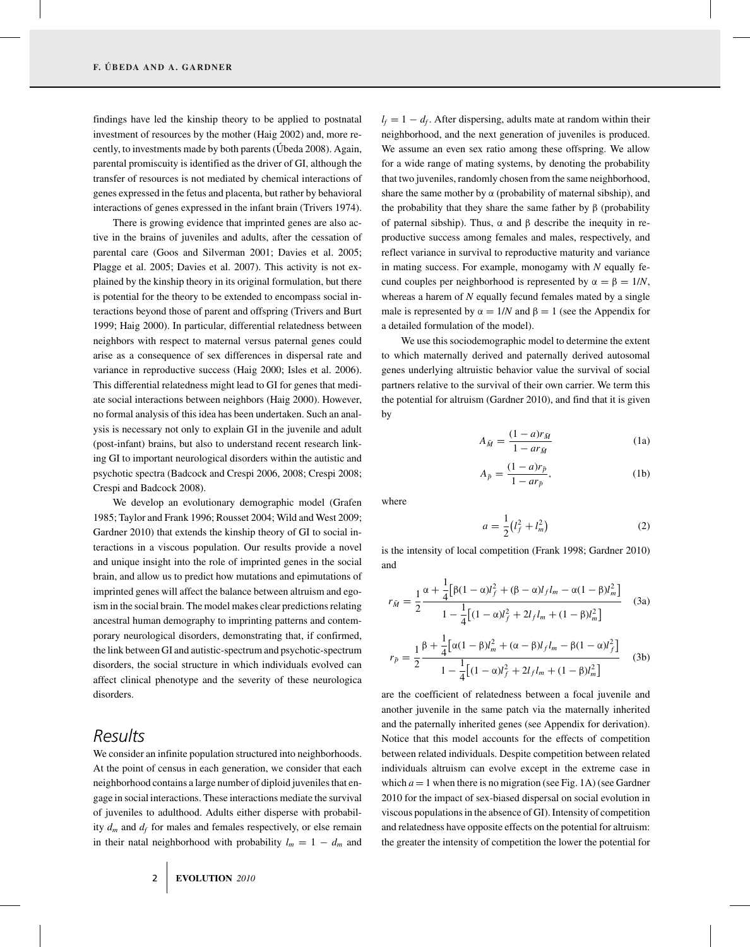findings have led the kinship theory to be applied to postnatal investment of resources by the mother (Haig 2002) and, more recently, to investments made by both parents (Ubeda 2008). Again, ´ parental promiscuity is identified as the driver of GI, although the transfer of resources is not mediated by chemical interactions of genes expressed in the fetus and placenta, but rather by behavioral interactions of genes expressed in the infant brain (Trivers 1974).

There is growing evidence that imprinted genes are also active in the brains of juveniles and adults, after the cessation of parental care (Goos and Silverman 2001; Davies et al. 2005; Plagge et al. 2005; Davies et al. 2007). This activity is not explained by the kinship theory in its original formulation, but there is potential for the theory to be extended to encompass social interactions beyond those of parent and offspring (Trivers and Burt 1999; Haig 2000). In particular, differential relatedness between neighbors with respect to maternal versus paternal genes could arise as a consequence of sex differences in dispersal rate and variance in reproductive success (Haig 2000; Isles et al. 2006). This differential relatedness might lead to GI for genes that mediate social interactions between neighbors (Haig 2000). However, no formal analysis of this idea has been undertaken. Such an analysis is necessary not only to explain GI in the juvenile and adult (post-infant) brains, but also to understand recent research linking GI to important neurological disorders within the autistic and psychotic spectra (Badcock and Crespi 2006, 2008; Crespi 2008; Crespi and Badcock 2008).

We develop an evolutionary demographic model (Grafen 1985; Taylor and Frank 1996; Rousset 2004; Wild and West 2009; Gardner 2010) that extends the kinship theory of GI to social interactions in a viscous population. Our results provide a novel and unique insight into the role of imprinted genes in the social brain, and allow us to predict how mutations and epimutations of imprinted genes will affect the balance between altruism and egoism in the social brain. The model makes clear predictions relating ancestral human demography to imprinting patterns and contemporary neurological disorders, demonstrating that, if confirmed, the link between GI and autistic-spectrum and psychotic-spectrum disorders, the social structure in which individuals evolved can affect clinical phenotype and the severity of these neurologica disorders.

# *Results*

We consider an infinite population structured into neighborhoods. At the point of census in each generation, we consider that each neighborhood contains a large number of diploid juveniles that engage in social interactions. These interactions mediate the survival of juveniles to adulthood. Adults either disperse with probability  $d_m$  and  $d_f$  for males and females respectively, or else remain in their natal neighborhood with probability  $l_m = 1 - d_m$  and  $l_f = 1 - d_f$ . After dispersing, adults mate at random within their neighborhood, and the next generation of juveniles is produced. We assume an even sex ratio among these offspring. We allow for a wide range of mating systems, by denoting the probability that two juveniles, randomly chosen from the same neighborhood, share the same mother by  $\alpha$  (probability of maternal sibship), and the probability that they share the same father by  $\beta$  (probability of paternal sibship). Thus,  $\alpha$  and  $\beta$  describe the inequity in reproductive success among females and males, respectively, and reflect variance in survival to reproductive maturity and variance in mating success. For example, monogamy with *N* equally fecund couples per neighborhood is represented by  $\alpha = \beta = 1/N$ , whereas a harem of *N* equally fecund females mated by a single male is represented by  $\alpha = 1/N$  and  $\beta = 1$  (see the Appendix for a detailed formulation of the model).

We use this sociodemographic model to determine the extent to which maternally derived and paternally derived autosomal genes underlying altruistic behavior value the survival of social partners relative to the survival of their own carrier. We term this the potential for altruism (Gardner 2010), and find that it is given by

$$
A_{\bar{M}} = \frac{(1-a)r_{\bar{M}}}{1 - ar_{\bar{M}}}
$$
 (1a)

$$
A_{\bar{p}} = \frac{(1-a)r_{\bar{p}}}{1 - ar_{\bar{p}}},\tag{1b}
$$

where

$$
a = \frac{1}{2} (l_f^2 + l_m^2)
$$
 (2)

is the intensity of local competition (Frank 1998; Gardner 2010) and

$$
r_{\tilde{M}} = \frac{1}{2} \frac{\alpha + \frac{1}{4} [\beta (1 - \alpha) l_f^2 + (\beta - \alpha) l_f l_m - \alpha (1 - \beta) l_m^2]}{1 - \frac{1}{4} [(1 - \alpha) l_f^2 + 2 l_f l_m + (1 - \beta) l_m^2]}
$$
(3a)  

$$
r_{\tilde{p}} = \frac{1}{2} \frac{\beta + \frac{1}{4} [\alpha (1 - \beta) l_m^2 + (\alpha - \beta) l_f l_m - \beta (1 - \alpha) l_f^2]}{1 - \frac{1}{4} [(1 - \alpha) l_f^2 + 2 l_f l_m + (1 - \beta) l_m^2]}
$$
(3b)

are the coefficient of relatedness between a focal juvenile and another juvenile in the same patch via the maternally inherited and the paternally inherited genes (see Appendix for derivation). Notice that this model accounts for the effects of competition between related individuals. Despite competition between related individuals altruism can evolve except in the extreme case in which  $a = 1$  when there is no migration (see Fig. 1A) (see Gardner 2010 for the impact of sex-biased dispersal on social evolution in viscous populations in the absence of GI). Intensity of competition and relatedness have opposite effects on the potential for altruism: the greater the intensity of competition the lower the potential for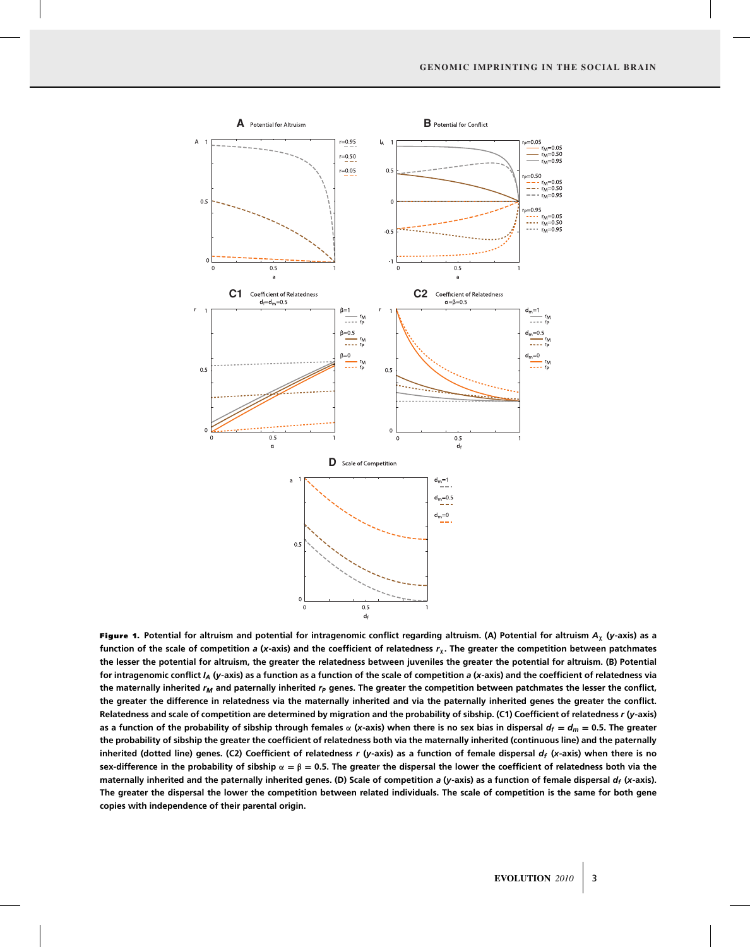

Figure 1. **Potential for altruism and potential for intragenomic conflict regarding altruism. (A) Potential for altruism** *A***<sup>χ</sup> (***y***-axis) as a function of the scale of competition** *a* **(***x***-axis) and the coefficient of relatedness** *r***χ. The greater the competition between patchmates the lesser the potential for altruism, the greater the relatedness between juveniles the greater the potential for altruism. (B) Potential for intragenomic conflict** *IA* **(***y***-axis) as a function as a function of the scale of competition** *a* **(***x***-axis) and the coefficient of relatedness via** the maternally inherited  $r_M$  and paternally inherited  $r_P$  genes. The greater the competition between patchmates the lesser the conflict, **the greater the difference in relatedness via the maternally inherited and via the paternally inherited genes the greater the conflict. Relatedness and scale of competition are determined by migration and the probability of sibship. (C1) Coefficient of relatedness** *r* **(***y***-axis)** as a function of the probability of sibship through females  $\alpha$  (*x*-axis) when there is no sex bias in dispersal  $d_f = d_m = 0.5$ . The greater **the probability of sibship the greater the coefficient of relatedness both via the maternally inherited (continuous line) and the paternally inherited (dotted line) genes. (C2) Coefficient of relatedness** *r* **(***y***-axis) as a function of female dispersal** *df* **(***x***-axis) when there is no sex-difference in the probability of sibship α = β = 0.5. The greater the dispersal the lower the coefficient of relatedness both via the maternally inherited and the paternally inherited genes. (D) Scale of competition** *a* **(***y***-axis) as a function of female dispersal** *df* **(***x***-axis). The greater the dispersal the lower the competition between related individuals. The scale of competition is the same for both gene copies with independence of their parental origin.**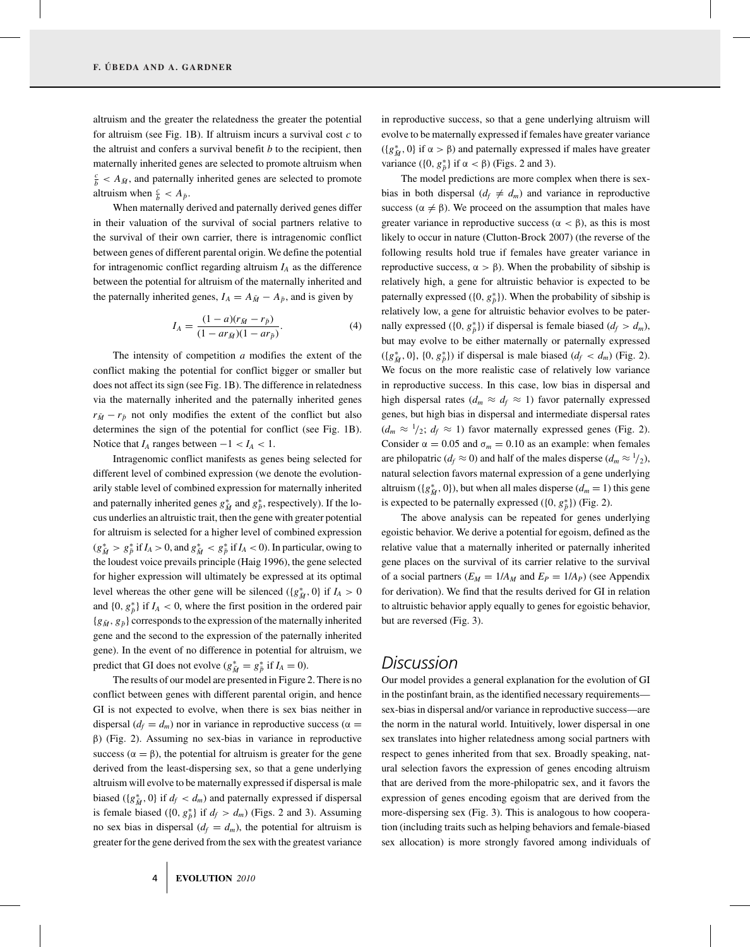altruism and the greater the relatedness the greater the potential for altruism (see Fig. 1B). If altruism incurs a survival cost *c* to the altruist and confers a survival benefit *b* to the recipient, then maternally inherited genes are selected to promote altruism when  $\frac{c}{b}$  <  $A_{\bar{M}}$ , and paternally inherited genes are selected to promote altruism when  $\frac{c}{b} < A_{\bar{p}}$ .

When maternally derived and paternally derived genes differ in their valuation of the survival of social partners relative to the survival of their own carrier, there is intragenomic conflict between genes of different parental origin. We define the potential for intragenomic conflict regarding altruism  $I_A$  as the difference between the potential for altruism of the maternally inherited and the paternally inherited genes,  $I_A = A_{\bar{M}} - A_{\bar{p}}$ , and is given by

$$
I_A = \frac{(1-a)(r_{\bar{M}} - r_{\bar{p}})}{(1 - ar_{\bar{M}})(1 - ar_{\bar{p}})}.
$$
\n(4)

The intensity of competition *a* modifies the extent of the conflict making the potential for conflict bigger or smaller but does not affect its sign (see Fig. 1B). The difference in relatedness via the maternally inherited and the paternally inherited genes  $r_{\bar{M}} - r_{\bar{p}}$  not only modifies the extent of the conflict but also determines the sign of the potential for conflict (see Fig. 1B). Notice that  $I_A$  ranges between  $-1 < I_A < 1$ .

Intragenomic conflict manifests as genes being selected for different level of combined expression (we denote the evolutionarily stable level of combined expression for maternally inherited and paternally inherited genes  $g_M^*$  and  $g_P^*$ , respectively). If the locus underlies an altruistic trait, then the gene with greater potential for altruism is selected for a higher level of combined expression  $(g^*_{\bar{M}} > g^*_{\bar{p}} \text{ if } I_A > 0 \text{, and } g^*_{\bar{M}} < g^*_{\bar{p}} \text{ if } I_A < 0 \text{). In particular, owing to}$ the loudest voice prevails principle (Haig 1996), the gene selected for higher expression will ultimately be expressed at its optimal level whereas the other gene will be silenced ({ $g_M^*$ , 0} if  $I_A > 0$ and  $\{0, g^*_{\bar{p}}\}$  if  $I_A < 0$ , where the first position in the ordered pair  ${g_{\bar{M}}}, {g_{\bar{p}}}\}$  corresponds to the expression of the maternally inherited gene and the second to the expression of the paternally inherited gene). In the event of no difference in potential for altruism, we predict that GI does not evolve ( $g^*_{\bar{M}} = g^*_{\bar{p}}$  if  $I_A = 0$ ).

The results of our model are presented in Figure 2. There is no conflict between genes with different parental origin, and hence GI is not expected to evolve, when there is sex bias neither in dispersal  $(d_f = d_m)$  nor in variance in reproductive success ( $\alpha$  = β) (Fig. 2). Assuming no sex-bias in variance in reproductive success ( $\alpha = \beta$ ), the potential for altruism is greater for the gene derived from the least-dispersing sex, so that a gene underlying altruism will evolve to be maternally expressed if dispersal is male biased ({ $g^*_{\bar{M}}$ , 0} if  $d_f < d_m$ ) and paternally expressed if dispersal is female biased ({ $0, g^*_{\bar{p}}$ } if  $d_f > d_m$ ) (Figs. 2 and 3). Assuming no sex bias in dispersal  $(d_f = d_m)$ , the potential for altruism is greater for the gene derived from the sex with the greatest variance in reproductive success, so that a gene underlying altruism will evolve to be maternally expressed if females have greater variance  $({g^*_{\bar{M}}, 0}$  if  $\alpha > \beta$ ) and paternally expressed if males have greater variance  $({0, g^*_{\overline{p}}})$  if  $\alpha < \beta$ ) (Figs. 2 and 3).

The model predictions are more complex when there is sexbias in both dispersal  $(d_f \neq d_m)$  and variance in reproductive success ( $\alpha \neq \beta$ ). We proceed on the assumption that males have greater variance in reproductive success ( $\alpha < \beta$ ), as this is most likely to occur in nature (Clutton-Brock 2007) (the reverse of the following results hold true if females have greater variance in reproductive success,  $\alpha > \beta$ ). When the probability of sibship is relatively high, a gene for altruistic behavior is expected to be paternally expressed ({0,  $g_{\bar{p}}^{*}$ }). When the probability of sibship is relatively low, a gene for altruistic behavior evolves to be paternally expressed ({0,  $g_{\bar{p}}^*$ }) if dispersal is female biased ( $d_f > d_m$ ), but may evolve to be either maternally or paternally expressed  $({g^*_{\bar{M}}, 0}, {0, g^*_{\bar{p}}})$  if dispersal is male biased  $(d_f < d_m)$  (Fig. 2). We focus on the more realistic case of relatively low variance in reproductive success. In this case, low bias in dispersal and high dispersal rates ( $d_m \approx d_f \approx 1$ ) favor paternally expressed genes, but high bias in dispersal and intermediate dispersal rates  $(d_m \approx 1/2; d_f \approx 1)$  favor maternally expressed genes (Fig. 2). Consider  $\alpha = 0.05$  and  $\sigma_m = 0.10$  as an example: when females are philopatric ( $d_f \approx 0$ ) and half of the males disperse ( $d_m \approx \frac{1}{2}$ ), natural selection favors maternal expression of a gene underlying altruism ({ $g_M^*$ , 0}), but when all males disperse ( $d_m = 1$ ) this gene is expected to be paternally expressed  $({0, g^*_{\overline{p}}})$  (Fig. 2).

The above analysis can be repeated for genes underlying egoistic behavior. We derive a potential for egoism, defined as the relative value that a maternally inherited or paternally inherited gene places on the survival of its carrier relative to the survival of a social partners  $(E_M = 1/A_M$  and  $E_P = 1/A_P$ ) (see Appendix for derivation). We find that the results derived for GI in relation to altruistic behavior apply equally to genes for egoistic behavior, but are reversed (Fig. 3).

# *Discussion*

Our model provides a general explanation for the evolution of GI in the postinfant brain, as the identified necessary requirements sex-bias in dispersal and/or variance in reproductive success—are the norm in the natural world. Intuitively, lower dispersal in one sex translates into higher relatedness among social partners with respect to genes inherited from that sex. Broadly speaking, natural selection favors the expression of genes encoding altruism that are derived from the more-philopatric sex, and it favors the expression of genes encoding egoism that are derived from the more-dispersing sex (Fig. 3). This is analogous to how cooperation (including traits such as helping behaviors and female-biased sex allocation) is more strongly favored among individuals of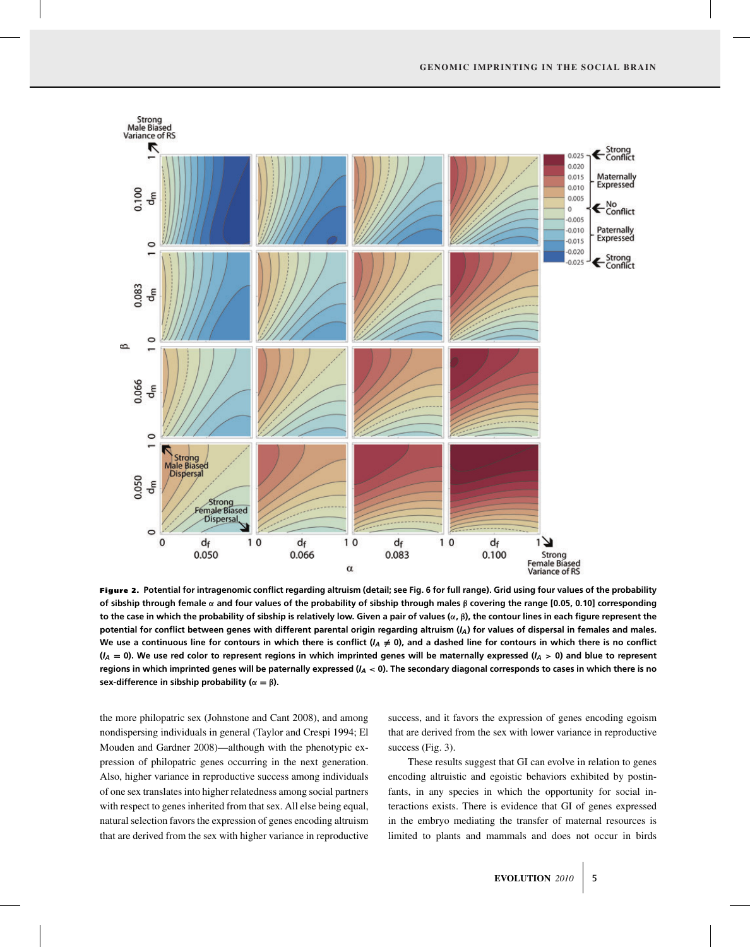

Figure 2. **Potential for intragenomic conflict regarding altruism (detail; see Fig. 6 for full range). Grid using four values of the probability of sibship through female α and four values of the probability of sibship through males β covering the range [0.05, 0.10] corresponding to the case in which the probability of sibship is relatively low. Given a pair of values (** $α$ **,**  $β$ **), the contour lines in each figure represent the potential for conflict between genes with different parental origin regarding altruism (***IA***) for values of dispersal in females and males.** We use a continuous line for contours in which there is conflict (*I<sub>A</sub>*  $\neq$  0), and a dashed line for contours in which there is no conflict  $(I_A = 0)$ . We use red color to represent regions in which imprinted genes will be maternally expressed  $(I_A > 0)$  and blue to represent **regions in which imprinted genes will be paternally expressed (***IA* **< 0). The secondary diagonal corresponds to cases in which there is no sex-difference in sibship probability (** $\alpha = \beta$ **).** 

the more philopatric sex (Johnstone and Cant 2008), and among nondispersing individuals in general (Taylor and Crespi 1994; El Mouden and Gardner 2008)—although with the phenotypic expression of philopatric genes occurring in the next generation. Also, higher variance in reproductive success among individuals of one sex translates into higher relatedness among social partners with respect to genes inherited from that sex. All else being equal, natural selection favors the expression of genes encoding altruism that are derived from the sex with higher variance in reproductive success, and it favors the expression of genes encoding egoism that are derived from the sex with lower variance in reproductive success (Fig. 3).

These results suggest that GI can evolve in relation to genes encoding altruistic and egoistic behaviors exhibited by postinfants, in any species in which the opportunity for social interactions exists. There is evidence that GI of genes expressed in the embryo mediating the transfer of maternal resources is limited to plants and mammals and does not occur in birds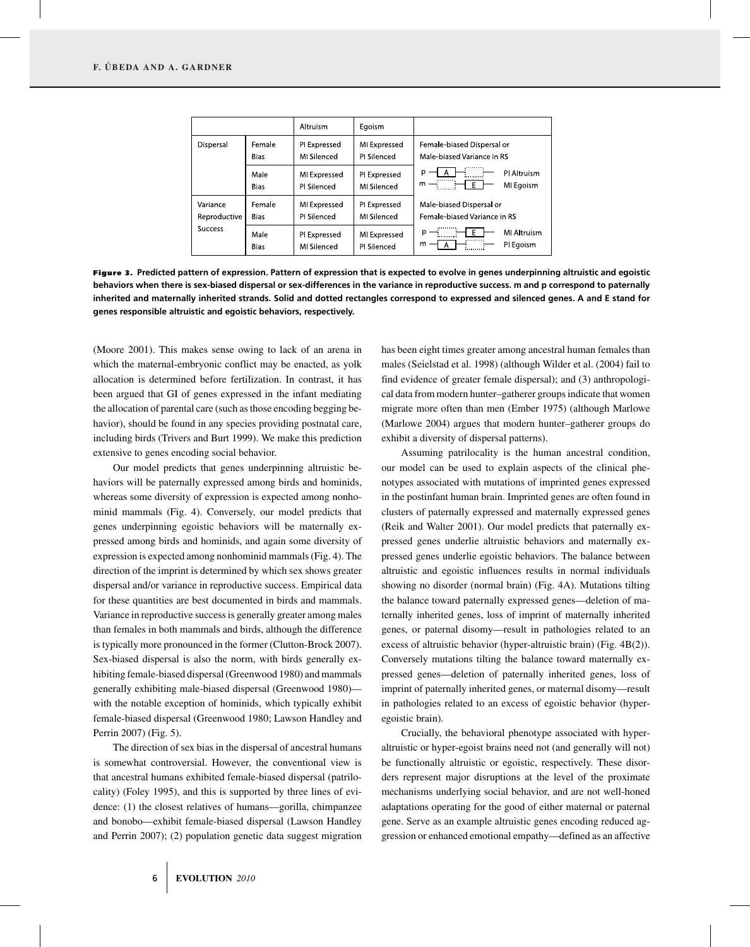|                          |                       | Altruism                    | Egoism                      |                                                          |  |
|--------------------------|-----------------------|-----------------------------|-----------------------------|----------------------------------------------------------|--|
| Dispersal                | Female<br><b>Bias</b> | PI Expressed<br>MI Silenced | MI Expressed<br>PI Silenced | Female-biased Dispersal or<br>Male-biased Variance in RS |  |
|                          | Male<br><b>Bias</b>   | MI Expressed<br>PI Silenced | PI Expressed<br>MI Silenced | р<br>PI Altruism<br>⊣‴ਮ⊤<br>m<br>MI Egoism               |  |
| Variance<br>Reproductive | Female<br><b>Bias</b> | MI Expressed<br>PI Silenced | PI Expressed<br>MI Silenced | Male-biased Dispersal or<br>Female-biased Variance in RS |  |
| <b>Success</b>           | Male<br><b>Bias</b>   | PI Expressed<br>MI Silenced | MI Expressed<br>PI Silenced | MI Altruism<br>F.<br>р<br>PI Egoism<br>m<br>$\cdot$ A    |  |

Figure 3. **Predicted pattern of expression. Pattern of expression that is expected to evolve in genes underpinning altruistic and egoistic behaviors when there is sex-biased dispersal or sex-differences in the variance in reproductive success. m and p correspond to paternally inherited and maternally inherited strands. Solid and dotted rectangles correspond to expressed and silenced genes. A and E stand for genes responsible altruistic and egoistic behaviors, respectively.**

(Moore 2001). This makes sense owing to lack of an arena in which the maternal-embryonic conflict may be enacted, as yolk allocation is determined before fertilization. In contrast, it has been argued that GI of genes expressed in the infant mediating the allocation of parental care (such as those encoding begging behavior), should be found in any species providing postnatal care, including birds (Trivers and Burt 1999). We make this prediction extensive to genes encoding social behavior.

Our model predicts that genes underpinning altruistic behaviors will be paternally expressed among birds and hominids, whereas some diversity of expression is expected among nonhominid mammals (Fig. 4). Conversely, our model predicts that genes underpinning egoistic behaviors will be maternally expressed among birds and hominids, and again some diversity of expression is expected among nonhominid mammals (Fig. 4). The direction of the imprint is determined by which sex shows greater dispersal and/or variance in reproductive success. Empirical data for these quantities are best documented in birds and mammals. Variance in reproductive success is generally greater among males than females in both mammals and birds, although the difference is typically more pronounced in the former (Clutton-Brock 2007). Sex-biased dispersal is also the norm, with birds generally exhibiting female-biased dispersal (Greenwood 1980) and mammals generally exhibiting male-biased dispersal (Greenwood 1980) with the notable exception of hominids, which typically exhibit female-biased dispersal (Greenwood 1980; Lawson Handley and Perrin 2007) (Fig. 5).

The direction of sex bias in the dispersal of ancestral humans is somewhat controversial. However, the conventional view is that ancestral humans exhibited female-biased dispersal (patrilocality) (Foley 1995), and this is supported by three lines of evidence: (1) the closest relatives of humans—gorilla, chimpanzee and bonobo—exhibit female-biased dispersal (Lawson Handley and Perrin 2007); (2) population genetic data suggest migration has been eight times greater among ancestral human females than males (Seielstad et al. 1998) (although Wilder et al. (2004) fail to find evidence of greater female dispersal); and (3) anthropological data from modern hunter–gatherer groups indicate that women migrate more often than men (Ember 1975) (although Marlowe (Marlowe 2004) argues that modern hunter–gatherer groups do exhibit a diversity of dispersal patterns).

Assuming patrilocality is the human ancestral condition, our model can be used to explain aspects of the clinical phenotypes associated with mutations of imprinted genes expressed in the postinfant human brain. Imprinted genes are often found in clusters of paternally expressed and maternally expressed genes (Reik and Walter 2001). Our model predicts that paternally expressed genes underlie altruistic behaviors and maternally expressed genes underlie egoistic behaviors. The balance between altruistic and egoistic influences results in normal individuals showing no disorder (normal brain) (Fig. 4A). Mutations tilting the balance toward paternally expressed genes—deletion of maternally inherited genes, loss of imprint of maternally inherited genes, or paternal disomy—result in pathologies related to an excess of altruistic behavior (hyper-altruistic brain) (Fig. 4B(2)). Conversely mutations tilting the balance toward maternally expressed genes—deletion of paternally inherited genes, loss of imprint of paternally inherited genes, or maternal disomy—result in pathologies related to an excess of egoistic behavior (hyperegoistic brain).

Crucially, the behavioral phenotype associated with hyperaltruistic or hyper-egoist brains need not (and generally will not) be functionally altruistic or egoistic, respectively. These disorders represent major disruptions at the level of the proximate mechanisms underlying social behavior, and are not well-honed adaptations operating for the good of either maternal or paternal gene. Serve as an example altruistic genes encoding reduced aggression or enhanced emotional empathy—defined as an affective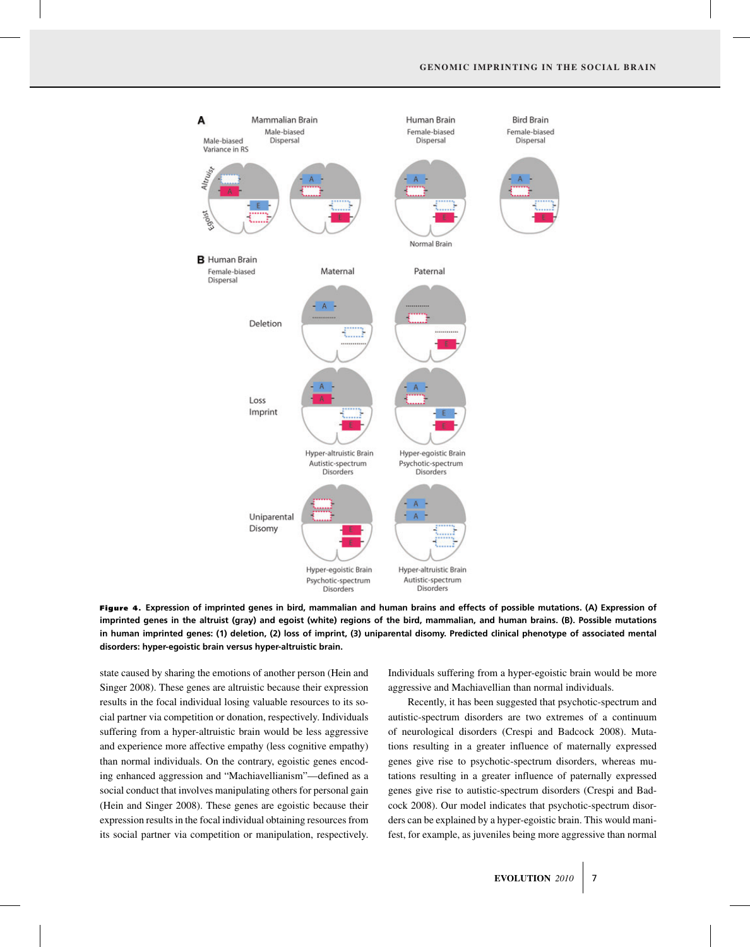

Figure 4. **Expression of imprinted genes in bird, mammalian and human brains and effects of possible mutations. (A) Expression of imprinted genes in the altruist (gray) and egoist (white) regions of the bird, mammalian, and human brains. (B). Possible mutations in human imprinted genes: (1) deletion, (2) loss of imprint, (3) uniparental disomy. Predicted clinical phenotype of associated mental disorders: hyper-egoistic brain versus hyper-altruistic brain.**

state caused by sharing the emotions of another person (Hein and Singer 2008). These genes are altruistic because their expression results in the focal individual losing valuable resources to its social partner via competition or donation, respectively. Individuals suffering from a hyper-altruistic brain would be less aggressive and experience more affective empathy (less cognitive empathy) than normal individuals. On the contrary, egoistic genes encoding enhanced aggression and "Machiavellianism"—defined as a social conduct that involves manipulating others for personal gain (Hein and Singer 2008). These genes are egoistic because their expression results in the focal individual obtaining resources from its social partner via competition or manipulation, respectively. Individuals suffering from a hyper-egoistic brain would be more aggressive and Machiavellian than normal individuals.

Recently, it has been suggested that psychotic-spectrum and autistic-spectrum disorders are two extremes of a continuum of neurological disorders (Crespi and Badcock 2008). Mutations resulting in a greater influence of maternally expressed genes give rise to psychotic-spectrum disorders, whereas mutations resulting in a greater influence of paternally expressed genes give rise to autistic-spectrum disorders (Crespi and Badcock 2008). Our model indicates that psychotic-spectrum disorders can be explained by a hyper-egoistic brain. This would manifest, for example, as juveniles being more aggressive than normal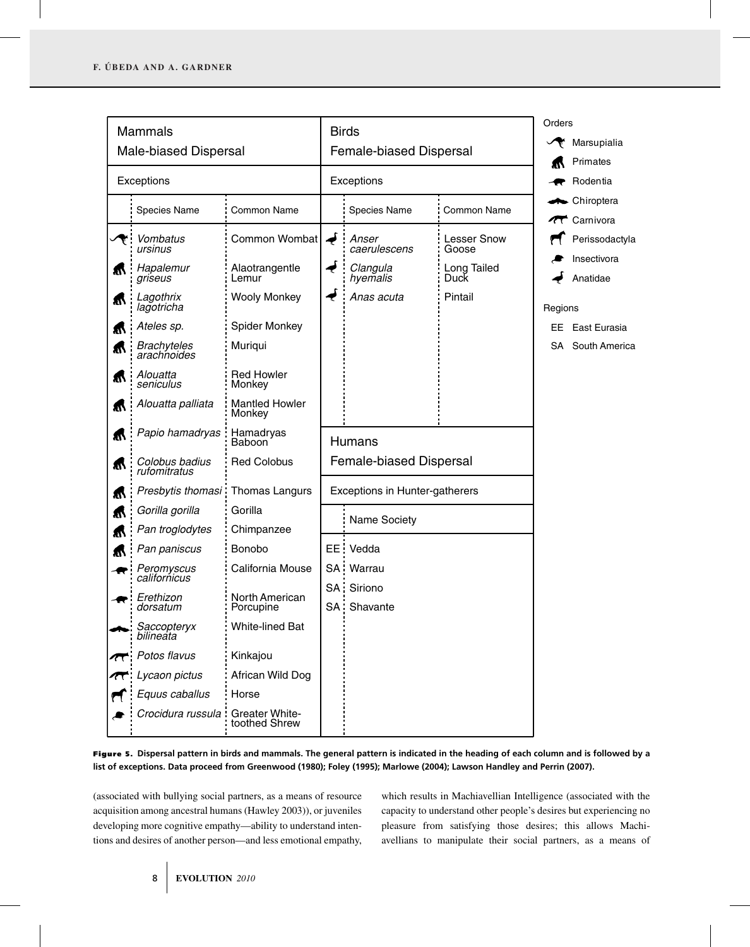| <b>Mammals</b><br>Male-biased Dispersal |                                                                                                                                                                                       |                                                                                                                                                          | <b>Birds</b><br><b>Female-biased Dispersal</b> |                                                             |                                                               | Orders        | Marsupialia<br>Primates                                                       |
|-----------------------------------------|---------------------------------------------------------------------------------------------------------------------------------------------------------------------------------------|----------------------------------------------------------------------------------------------------------------------------------------------------------|------------------------------------------------|-------------------------------------------------------------|---------------------------------------------------------------|---------------|-------------------------------------------------------------------------------|
| Exceptions                              |                                                                                                                                                                                       |                                                                                                                                                          | Exceptions                                     |                                                             |                                                               |               | Rodentia                                                                      |
|                                         | <b>Species Name</b>                                                                                                                                                                   | Common Name                                                                                                                                              |                                                | <b>Species Name</b>                                         | Common Name                                                   |               | Chiroptera<br><b>T</b> Carnivora                                              |
| Λ<br>Δ<br>Л<br>Л<br>Λ                   | Vombatus<br>ursinus<br>Hapalemur<br>griseus<br>Lagothrix<br>lagotricha<br>Ateles sp.<br><b>Brachyteles</b><br>arachnoides<br>Alouatta<br>seniculus                                    | Common Wombat<br>Alaotrangentle<br>Lemur<br><b>Wooly Monkey</b><br>Spider Monkey<br>Muriqui<br><b>Red Howler</b><br>Monkey                               | ◀<br>令<br>₹                                    | Anser<br>caerulescens<br>Clangula<br>hyemalis<br>Anas acuta | <b>Lesser Snow</b><br>Goose<br>Long Tailed<br>Duck<br>Pintail | Regions<br>EЕ | Perissodactyla<br>Insectivora<br>Anatidae<br>East Eurasia<br>SA South America |
| €<br>Δ<br>Λ                             | Alouatta palliata<br>Papio hamadryas<br>Colobus badius<br>rufomitratus                                                                                                                | <b>Mantled Howler</b><br>Monkey<br>Hamadryas<br><b>Baboon</b><br><b>Red Colobus</b>                                                                      | Humans<br><b>Female-biased Dispersal</b>       |                                                             |                                                               |               |                                                                               |
| Δ<br>ß<br>Λ                             | Presbytis thomasi<br>Gorilla gorilla<br>Pan troglodytes                                                                                                                               | Thomas Langurs<br>Gorilla<br>Chimpanzee                                                                                                                  |                                                | Exceptions in Hunter-gatherers<br><b>Name Society</b>       |                                                               |               |                                                                               |
| Λ                                       | Pan paniscus<br>Peromyscus<br>califorńicus<br>$\bullet$ Erethizon<br>aorsatum<br>Saccopteryx<br>bilineata<br>Potos flavus<br>: Lycaon pictus<br>Equus caballus<br>Crocidura russula : | Bonobo<br>California Mouse<br>North American<br>Porcupine<br>White-lined Bat<br>Kinkajou<br>African Wild Dog<br>Horse<br>Greater White-<br>toothed Shrew | ЕE                                             | Vedda<br>SA : Warrau<br>SA Siriono<br>SA Shavante           |                                                               |               |                                                                               |

Figure 5. **Dispersal pattern in birds and mammals. The general pattern is indicated in the heading of each column and is followed by a list of exceptions. Data proceed from Greenwood (1980); Foley (1995); Marlowe (2004); Lawson Handley and Perrin (2007).**

(associated with bullying social partners, as a means of resource acquisition among ancestral humans (Hawley 2003)), or juveniles developing more cognitive empathy—ability to understand intentions and desires of another person—and less emotional empathy,

which results in Machiavellian Intelligence (associated with the capacity to understand other people's desires but experiencing no pleasure from satisfying those desires; this allows Machiavellians to manipulate their social partners, as a means of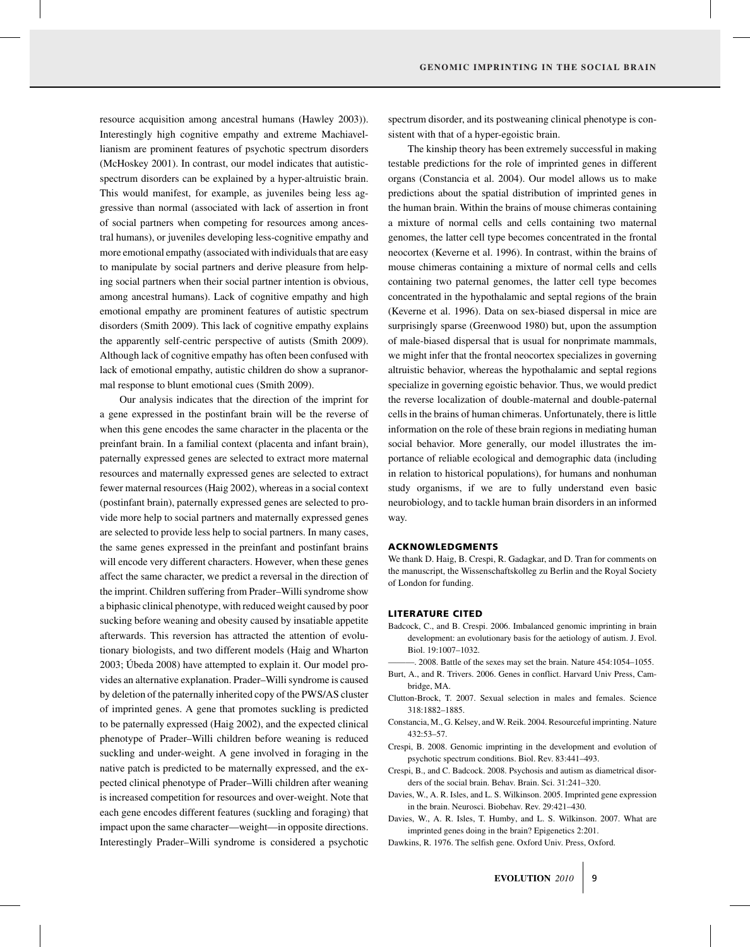resource acquisition among ancestral humans (Hawley 2003)). Interestingly high cognitive empathy and extreme Machiavellianism are prominent features of psychotic spectrum disorders (McHoskey 2001). In contrast, our model indicates that autisticspectrum disorders can be explained by a hyper-altruistic brain. This would manifest, for example, as juveniles being less aggressive than normal (associated with lack of assertion in front of social partners when competing for resources among ancestral humans), or juveniles developing less-cognitive empathy and more emotional empathy (associated with individuals that are easy to manipulate by social partners and derive pleasure from helping social partners when their social partner intention is obvious, among ancestral humans). Lack of cognitive empathy and high emotional empathy are prominent features of autistic spectrum disorders (Smith 2009). This lack of cognitive empathy explains the apparently self-centric perspective of autists (Smith 2009). Although lack of cognitive empathy has often been confused with lack of emotional empathy, autistic children do show a supranormal response to blunt emotional cues (Smith 2009).

Our analysis indicates that the direction of the imprint for a gene expressed in the postinfant brain will be the reverse of when this gene encodes the same character in the placenta or the preinfant brain. In a familial context (placenta and infant brain), paternally expressed genes are selected to extract more maternal resources and maternally expressed genes are selected to extract fewer maternal resources (Haig 2002), whereas in a social context (postinfant brain), paternally expressed genes are selected to provide more help to social partners and maternally expressed genes are selected to provide less help to social partners. In many cases, the same genes expressed in the preinfant and postinfant brains will encode very different characters. However, when these genes affect the same character, we predict a reversal in the direction of the imprint. Children suffering from Prader–Willi syndrome show a biphasic clinical phenotype, with reduced weight caused by poor sucking before weaning and obesity caused by insatiable appetite afterwards. This reversion has attracted the attention of evolutionary biologists, and two different models (Haig and Wharton 2003; Ubeda 2008) have attempted to explain it. Our model pro- ´ vides an alternative explanation. Prader–Willi syndrome is caused by deletion of the paternally inherited copy of the PWS/AS cluster of imprinted genes. A gene that promotes suckling is predicted to be paternally expressed (Haig 2002), and the expected clinical phenotype of Prader–Willi children before weaning is reduced suckling and under-weight. A gene involved in foraging in the native patch is predicted to be maternally expressed, and the expected clinical phenotype of Prader–Willi children after weaning is increased competition for resources and over-weight. Note that each gene encodes different features (suckling and foraging) that impact upon the same character—weight—in opposite directions. Interestingly Prader–Willi syndrome is considered a psychotic spectrum disorder, and its postweaning clinical phenotype is consistent with that of a hyper-egoistic brain.

The kinship theory has been extremely successful in making testable predictions for the role of imprinted genes in different organs (Constancia et al. 2004). Our model allows us to make predictions about the spatial distribution of imprinted genes in the human brain. Within the brains of mouse chimeras containing a mixture of normal cells and cells containing two maternal genomes, the latter cell type becomes concentrated in the frontal neocortex (Keverne et al. 1996). In contrast, within the brains of mouse chimeras containing a mixture of normal cells and cells containing two paternal genomes, the latter cell type becomes concentrated in the hypothalamic and septal regions of the brain (Keverne et al. 1996). Data on sex-biased dispersal in mice are surprisingly sparse (Greenwood 1980) but, upon the assumption of male-biased dispersal that is usual for nonprimate mammals, we might infer that the frontal neocortex specializes in governing altruistic behavior, whereas the hypothalamic and septal regions specialize in governing egoistic behavior. Thus, we would predict the reverse localization of double-maternal and double-paternal cells in the brains of human chimeras. Unfortunately, there is little information on the role of these brain regions in mediating human social behavior. More generally, our model illustrates the importance of reliable ecological and demographic data (including in relation to historical populations), for humans and nonhuman study organisms, if we are to fully understand even basic neurobiology, and to tackle human brain disorders in an informed way.

## ACKNOWLEDGMENTS

We thank D. Haig, B. Crespi, R. Gadagkar, and D. Tran for comments on the manuscript, the Wissenschaftskolleg zu Berlin and the Royal Society of London for funding.

#### LITERATURE CITED

- Badcock, C., and B. Crespi. 2006. Imbalanced genomic imprinting in brain development: an evolutionary basis for the aetiology of autism. J. Evol. Biol. 19:1007–1032.
	- ———. 2008. Battle of the sexes may set the brain. Nature 454:1054–1055.
- Burt, A., and R. Trivers. 2006. Genes in conflict. Harvard Univ Press, Cambridge, MA.
- Clutton-Brock, T. 2007. Sexual selection in males and females. Science 318:1882–1885.
- Constancia, M., G. Kelsey, and W. Reik. 2004. Resourceful imprinting. Nature 432:53–57.
- Crespi, B. 2008. Genomic imprinting in the development and evolution of psychotic spectrum conditions. Biol. Rev. 83:441–493.
- Crespi, B., and C. Badcock. 2008. Psychosis and autism as diametrical disorders of the social brain. Behav. Brain. Sci. 31:241–320.
- Davies, W., A. R. Isles, and L. S. Wilkinson. 2005. Imprinted gene expression in the brain. Neurosci. Biobehav. Rev. 29:421–430.
- Davies, W., A. R. Isles, T. Humby, and L. S. Wilkinson. 2007. What are imprinted genes doing in the brain? Epigenetics 2:201.
- Dawkins, R. 1976. The selfish gene. Oxford Univ. Press, Oxford.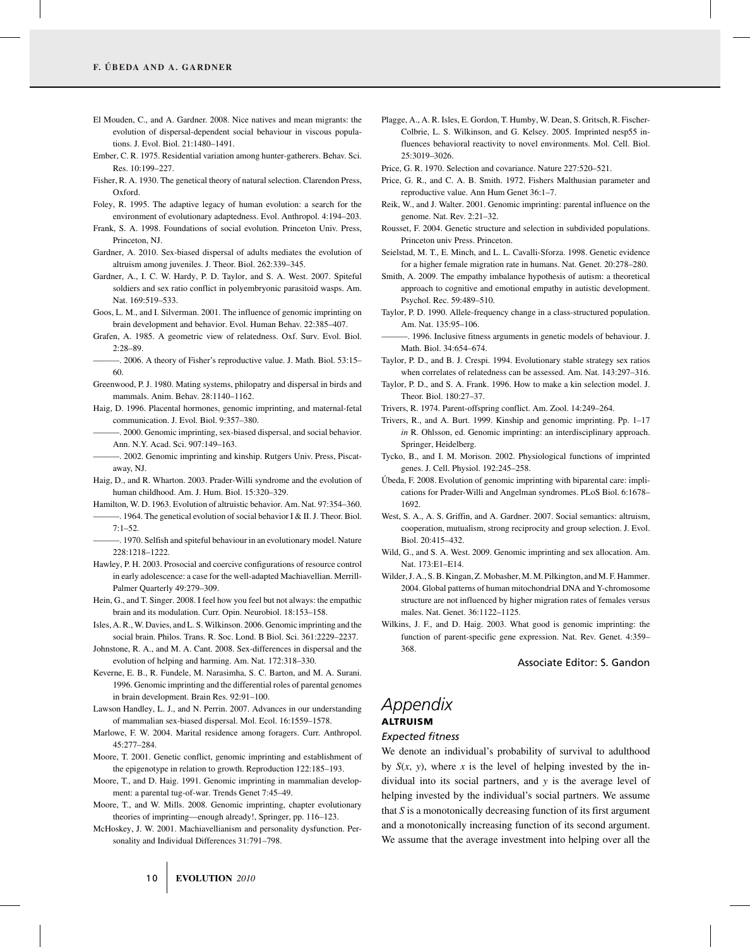- El Mouden, C., and A. Gardner. 2008. Nice natives and mean migrants: the evolution of dispersal-dependent social behaviour in viscous populations. J. Evol. Biol. 21:1480–1491.
- Ember, C. R. 1975. Residential variation among hunter-gatherers. Behav. Sci. Res. 10:199–227.
- Fisher, R. A. 1930. The genetical theory of natural selection. Clarendon Press, Oxford.
- Foley, R. 1995. The adaptive legacy of human evolution: a search for the environment of evolutionary adaptedness. Evol. Anthropol. 4:194–203.
- Frank, S. A. 1998. Foundations of social evolution. Princeton Univ. Press, Princeton, NJ.
- Gardner, A. 2010. Sex-biased dispersal of adults mediates the evolution of altruism among juveniles. J. Theor. Biol. 262:339–345.
- Gardner, A., I. C. W. Hardy, P. D. Taylor, and S. A. West. 2007. Spiteful soldiers and sex ratio conflict in polyembryonic parasitoid wasps. Am. Nat. 169:519–533.
- Goos, L. M., and I. Silverman. 2001. The influence of genomic imprinting on brain development and behavior. Evol. Human Behav. 22:385–407.
- Grafen, A. 1985. A geometric view of relatedness. Oxf. Surv. Evol. Biol. 2:28–89.
- -. 2006. A theory of Fisher's reproductive value. J. Math. Biol. 53:15– 60.
- Greenwood, P. J. 1980. Mating systems, philopatry and dispersal in birds and mammals. Anim. Behav. 28:1140–1162.
- Haig, D. 1996. Placental hormones, genomic imprinting, and maternal-fetal communication. J. Evol. Biol. 9:357–380.
- ———. 2000. Genomic imprinting, sex-biased dispersal, and social behavior. Ann. N.Y. Acad. Sci. 907:149–163.
- ———. 2002. Genomic imprinting and kinship. Rutgers Univ. Press, Piscataway, NJ.
- Haig, D., and R. Wharton. 2003. Prader-Willi syndrome and the evolution of human childhood. Am. J. Hum. Biol. 15:320–329.
- Hamilton, W. D. 1963. Evolution of altruistic behavior. Am. Nat. 97:354–360.
- ———. 1964. The genetical evolution of social behavior I & II. J. Theor. Biol. 7:1–52.
- ———. 1970. Selfish and spiteful behaviour in an evolutionary model. Nature 228:1218–1222.
- Hawley, P. H. 2003. Prosocial and coercive configurations of resource control in early adolescence: a case for the well-adapted Machiavellian. Merrill-Palmer Quarterly 49:279–309.
- Hein, G., and T. Singer. 2008. I feel how you feel but not always: the empathic brain and its modulation. Curr. Opin. Neurobiol. 18:153–158.
- Isles, A. R., W. Davies, and L. S. Wilkinson. 2006. Genomic imprinting and the social brain. Philos. Trans. R. Soc. Lond. B Biol. Sci. 361:2229–2237.
- Johnstone, R. A., and M. A. Cant. 2008. Sex-differences in dispersal and the evolution of helping and harming. Am. Nat. 172:318–330.
- Keverne, E. B., R. Fundele, M. Narasimha, S. C. Barton, and M. A. Surani. 1996. Genomic imprinting and the differential roles of parental genomes in brain development. Brain Res. 92:91–100.
- Lawson Handley, L. J., and N. Perrin. 2007. Advances in our understanding of mammalian sex-biased dispersal. Mol. Ecol. 16:1559–1578.
- Marlowe, F. W. 2004. Marital residence among foragers. Curr. Anthropol. 45:277–284.
- Moore, T. 2001. Genetic conflict, genomic imprinting and establishment of the epigenotype in relation to growth. Reproduction 122:185–193.
- Moore, T., and D. Haig. 1991. Genomic imprinting in mammalian development: a parental tug-of-war. Trends Genet 7:45–49.
- Moore, T., and W. Mills. 2008. Genomic imprinting, chapter evolutionary theories of imprinting—enough already!, Springer, pp. 116–123.
- McHoskey, J. W. 2001. Machiavellianism and personality dysfunction. Personality and Individual Differences 31:791–798.
- Plagge, A., A. R. Isles, E. Gordon, T. Humby, W. Dean, S. Gritsch, R. Fischer-Colbrie, L. S. Wilkinson, and G. Kelsey. 2005. Imprinted nesp55 influences behavioral reactivity to novel environments. Mol. Cell. Biol. 25:3019–3026.
- Price, G. R. 1970. Selection and covariance. Nature 227:520–521.
- Price, G. R., and C. A. B. Smith. 1972. Fishers Malthusian parameter and reproductive value. Ann Hum Genet 36:1–7.
- Reik, W., and J. Walter. 2001. Genomic imprinting: parental influence on the genome. Nat. Rev. 2:21–32.
- Rousset, F. 2004. Genetic structure and selection in subdivided populations. Princeton univ Press. Princeton.
- Seielstad, M. T., E. Minch, and L. L. Cavalli-Sforza. 1998. Genetic evidence for a higher female migration rate in humans. Nat. Genet. 20:278–280.
- Smith, A. 2009. The empathy imbalance hypothesis of autism: a theoretical approach to cognitive and emotional empathy in autistic development. Psychol. Rec. 59:489–510.
- Taylor, P. D. 1990. Allele-frequency change in a class-structured population. Am. Nat. 135:95–106.
- -. 1996. Inclusive fitness arguments in genetic models of behaviour. J. Math. Biol. 34:654–674.
- Taylor, P. D., and B. J. Crespi. 1994. Evolutionary stable strategy sex ratios when correlates of relatedness can be assessed. Am. Nat. 143:297–316.
- Taylor, P. D., and S. A. Frank. 1996. How to make a kin selection model. J. Theor. Biol. 180:27–37.
- Trivers, R. 1974. Parent-offspring conflict. Am. Zool. 14:249–264.
- Trivers, R., and A. Burt. 1999. Kinship and genomic imprinting. Pp. 1–17 *in* R. Ohlsson, ed. Genomic imprinting: an interdisciplinary approach. Springer, Heidelberg.
- Tycko, B., and I. M. Morison. 2002. Physiological functions of imprinted genes. J. Cell. Physiol. 192:245–258.
- Ubeda, F. 2008. Evolution of genomic imprinting with biparental care: impli- ´ cations for Prader-Willi and Angelman syndromes. PLoS Biol. 6:1678– 1692.
- West, S. A., A. S. Griffin, and A. Gardner. 2007. Social semantics: altruism, cooperation, mutualism, strong reciprocity and group selection. J. Evol. Biol. 20:415–432.
- Wild, G., and S. A. West. 2009. Genomic imprinting and sex allocation. Am. Nat. 173:E1–E14.
- Wilder, J. A., S. B. Kingan, Z. Mobasher, M. M. Pilkington, and M. F. Hammer. 2004. Global patterns of human mitochondrial DNA and Y-chromosome structure are not influenced by higher migration rates of females versus males. Nat. Genet. 36:1122–1125.
- Wilkins, J. F., and D. Haig. 2003. What good is genomic imprinting: the function of parent-specific gene expression. Nat. Rev. Genet. 4:359– 368.

#### Associate Editor: S. Gandon

# *Appendix* ALTRUISM

#### *Expected fitness*

We denote an individual's probability of survival to adulthood by  $S(x, y)$ , where *x* is the level of helping invested by the individual into its social partners, and *y* is the average level of helping invested by the individual's social partners. We assume that *S* is a monotonically decreasing function of its first argument and a monotonically increasing function of its second argument. We assume that the average investment into helping over all the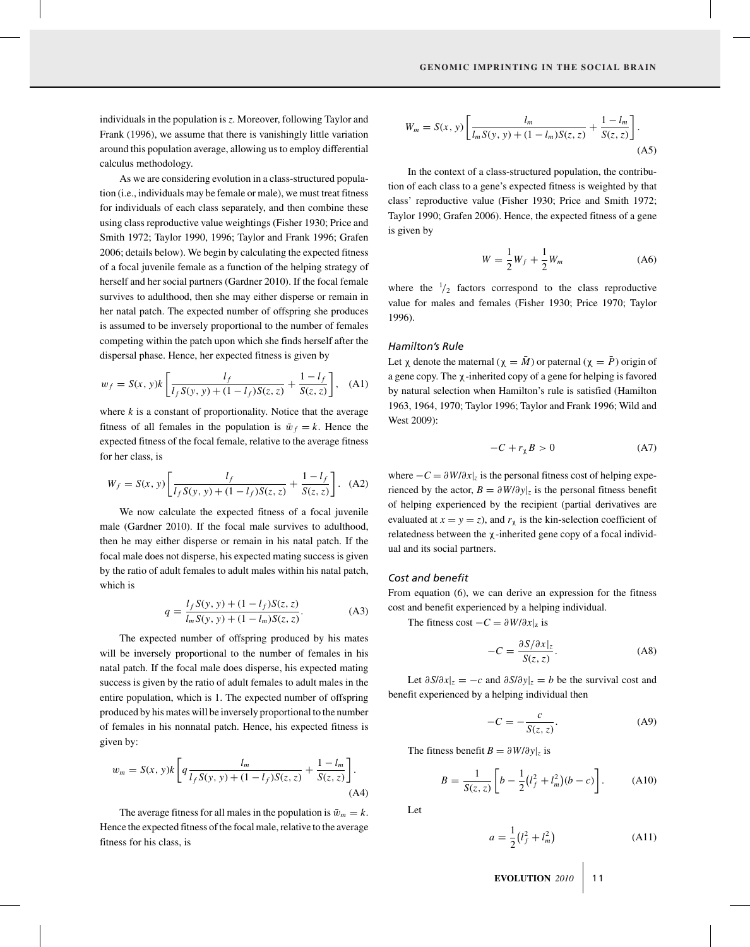individuals in the population is *z*. Moreover, following Taylor and Frank (1996), we assume that there is vanishingly little variation around this population average, allowing us to employ differential calculus methodology.

As we are considering evolution in a class-structured population (i.e., individuals may be female or male), we must treat fitness for individuals of each class separately, and then combine these using class reproductive value weightings (Fisher 1930; Price and Smith 1972; Taylor 1990, 1996; Taylor and Frank 1996; Grafen 2006; details below). We begin by calculating the expected fitness of a focal juvenile female as a function of the helping strategy of herself and her social partners (Gardner 2010). If the focal female survives to adulthood, then she may either disperse or remain in her natal patch. The expected number of offspring she produces is assumed to be inversely proportional to the number of females competing within the patch upon which she finds herself after the dispersal phase. Hence, her expected fitness is given by

$$
w_f = S(x, y)k \left[ \frac{l_f}{l_f S(y, y) + (1 - l_f)S(z, z)} + \frac{1 - l_f}{S(z, z)} \right], \quad (A1)
$$

where *k* is a constant of proportionality. Notice that the average fitness of all females in the population is  $\bar{w}_f = k$ . Hence the expected fitness of the focal female, relative to the average fitness for her class, is

$$
W_f = S(x, y) \left[ \frac{l_f}{l_f S(y, y) + (1 - l_f) S(z, z)} + \frac{1 - l_f}{S(z, z)} \right].
$$
 (A2)

We now calculate the expected fitness of a focal juvenile male (Gardner 2010). If the focal male survives to adulthood, then he may either disperse or remain in his natal patch. If the focal male does not disperse, his expected mating success is given by the ratio of adult females to adult males within his natal patch, which is

$$
q = \frac{l_f S(y, y) + (1 - l_f)S(z, z)}{l_m S(y, y) + (1 - l_m)S(z, z)}.
$$
 (A3)

The expected number of offspring produced by his mates will be inversely proportional to the number of females in his natal patch. If the focal male does disperse, his expected mating success is given by the ratio of adult females to adult males in the entire population, which is 1. The expected number of offspring produced by his mates will be inversely proportional to the number of females in his nonnatal patch. Hence, his expected fitness is given by:

$$
w_m = S(x, y)k \left[ q \frac{l_m}{l_f S(y, y) + (1 - l_f)S(z, z)} + \frac{1 - l_m}{S(z, z)} \right].
$$
\n(A4)

The average fitness for all males in the population is  $\bar{w}_m = k$ . Hence the expected fitness of the focal male, relative to the average fitness for his class, is

$$
W_m = S(x, y) \left[ \frac{l_m}{l_m S(y, y) + (1 - l_m) S(z, z)} + \frac{1 - l_m}{S(z, z)} \right].
$$
\n(A5)

In the context of a class-structured population, the contribution of each class to a gene's expected fitness is weighted by that class' reproductive value (Fisher 1930; Price and Smith 1972; Taylor 1990; Grafen 2006). Hence, the expected fitness of a gene is given by

$$
W = \frac{1}{2}W_f + \frac{1}{2}W_m
$$
 (A6)

where the  $\frac{1}{2}$  factors correspond to the class reproductive value for males and females (Fisher 1930; Price 1970; Taylor 1996).

## *Hamilton's Rule*

Let  $\chi$  denote the maternal ( $\chi = \bar{M}$ ) or paternal ( $\chi = \bar{P}$ ) origin of a gene copy. The χ-inherited copy of a gene for helping is favored by natural selection when Hamilton's rule is satisfied (Hamilton 1963, 1964, 1970; Taylor 1996; Taylor and Frank 1996; Wild and West 2009):

$$
-C + r_{\chi} B > 0 \tag{A7}
$$

where  $-C = \partial W/\partial x|_z$  is the personal fitness cost of helping experienced by the actor,  $B = \partial W / \partial y |_{z}$  is the personal fitness benefit of helping experienced by the recipient (partial derivatives are evaluated at  $x = y = z$ ), and  $r<sub>x</sub>$  is the kin-selection coefficient of relatedness between the χ-inherited gene copy of a focal individual and its social partners.

# *Cost and benefit*

From equation (6), we can derive an expression for the fitness cost and benefit experienced by a helping individual.

The fitness cost  $-C = \partial W / \partial x |_z$  is

$$
-C = \frac{\partial S/\partial x|_z}{S(z, z)}.
$$
 (A8)

Let  $\partial S/\partial x|_z = -c$  and  $\partial S/\partial y|_z = b$  be the survival cost and benefit experienced by a helping individual then

$$
-C = -\frac{c}{S(z, z)}.\tag{A9}
$$

The fitness benefit  $B = \partial W / \partial y |_{z}$  is

$$
B = \frac{1}{S(z, z)} \left[ b - \frac{1}{2} (l_f^2 + l_m^2)(b - c) \right].
$$
 (A10)

Let

$$
a = \frac{1}{2} (l_f^2 + l_m^2)
$$
 (A11)

**EVOLUTION** 2010 11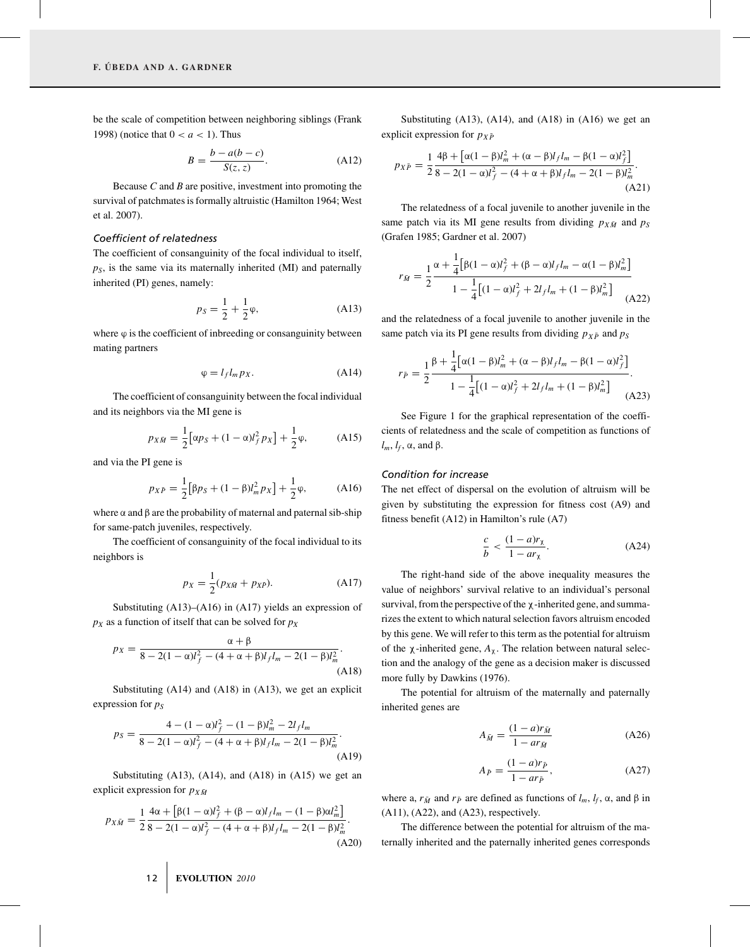be the scale of competition between neighboring siblings (Frank 1998) (notice that  $0 < a < 1$ ). Thus

$$
B = \frac{b - a(b - c)}{S(z, z)}.
$$
\n(A12)

Because *C* and *B* are positive, investment into promoting the survival of patchmates is formally altruistic (Hamilton 1964; West et al. 2007).

## *Coefficient of relatedness*

The coefficient of consanguinity of the focal individual to itself, *pS*, is the same via its maternally inherited (MI) and paternally inherited (PI) genes, namely:

$$
p_S = \frac{1}{2} + \frac{1}{2}\varphi,\tag{A13}
$$

where  $\varphi$  is the coefficient of inbreeding or consanguinity between mating partners

$$
\varphi = l_f l_m p_X. \tag{A14}
$$

The coefficient of consanguinity between the focal individual and its neighbors via the MI gene is

$$
p_{X\bar{M}} = \frac{1}{2} \big[ \alpha p_S + (1 - \alpha) l_f^2 p_X \big] + \frac{1}{2} \varphi,
$$
 (A15)

and via the PI gene is

$$
p_{X\bar{P}} = \frac{1}{2} [\beta p_S + (1 - \beta) l_m^2 p_X] + \frac{1}{2} \varphi,
$$
 (A16)

where  $\alpha$  and  $\beta$  are the probability of maternal and paternal sib-ship for same-patch juveniles, respectively.

The coefficient of consanguinity of the focal individual to its neighbors is

$$
p_X = \frac{1}{2}(p_{X\bar{M}} + p_{X\bar{P}}).
$$
 (A17)

Substituting (A13)–(A16) in (A17) yields an expression of *pX* as a function of itself that can be solved for *pX*

$$
p_X = \frac{\alpha + \beta}{8 - 2(1 - \alpha)l_f^2 - (4 + \alpha + \beta)l_f l_m - 2(1 - \beta)l_m^2}.
$$
\n(A18)

Substituting (A14) and (A18) in (A13), we get an explicit expression for  $p<sub>S</sub>$ 

$$
p_S = \frac{4 - (1 - \alpha)l_f^2 - (1 - \beta)l_m^2 - 2l_f l_m}{8 - 2(1 - \alpha)l_f^2 - (4 + \alpha + \beta)l_f l_m - 2(1 - \beta)l_m^2}.
$$
\n(A19)

Substituting  $(A13)$ ,  $(A14)$ , and  $(A18)$  in  $(A15)$  we get an explicit expression for  $p_{X\bar{M}}$ 

$$
p_{X\bar{M}} = \frac{1}{2} \frac{4\alpha + \left[\beta(1-\alpha)l_f^2 + (\beta-\alpha)l_f l_m - (1-\beta)\alpha l_m^2\right]}{8 - 2(1-\alpha)l_f^2 - (4+\alpha+\beta)l_f l_m - 2(1-\beta)l_m^2}.
$$
\n(A20)

Substituting  $(A13)$ ,  $(A14)$ , and  $(A18)$  in  $(A16)$  we get an explicit expression for  $p_{\overline{X} \overline{P}}$ 

$$
p_{X\bar{P}} = \frac{1}{2} \frac{4\beta + \left[ \alpha(1 - \beta)l_m^2 + (\alpha - \beta)l_f l_m - \beta(1 - \alpha)l_f^2 \right]}{8 - 2(1 - \alpha)l_f^2 - (4 + \alpha + \beta)l_f l_m - 2(1 - \beta)l_m^2}.
$$
\n(A21)

The relatedness of a focal juvenile to another juvenile in the same patch via its MI gene results from dividing  $p_{X\bar{M}}$  and  $p_S$ (Grafen 1985; Gardner et al. 2007)

$$
r_{\bar{M}} = \frac{1}{2} \frac{\alpha + \frac{1}{4} [\beta (1 - \alpha) l_f^2 + (\beta - \alpha) l_f l_m - \alpha (1 - \beta) l_m^2]}{1 - \frac{1}{4} [(1 - \alpha) l_f^2 + 2 l_f l_m + (1 - \beta) l_m^2]}
$$
(A22)

and the relatedness of a focal juvenile to another juvenile in the same patch via its PI gene results from dividing  $p_{\bar{X} \bar{P}}$  and  $p_{\bar{S}}$ 

$$
r_{\bar{P}} = \frac{1}{2} \frac{\beta + \frac{1}{4} [\alpha (1 - \beta) l_m^2 + (\alpha - \beta) l_f l_m - \beta (1 - \alpha) l_f^2]}{1 - \frac{1}{4} [(1 - \alpha) l_f^2 + 2 l_f l_m + (1 - \beta) l_m^2]}.
$$
(A23)

See Figure 1 for the graphical representation of the coefficients of relatedness and the scale of competition as functions of *l<sub>m</sub>*, *l<sub>f</sub>*, α, and β.

## *Condition for increase*

The net effect of dispersal on the evolution of altruism will be given by substituting the expression for fitness cost (A9) and fitness benefit (A12) in Hamilton's rule (A7)

$$
\frac{c}{b} < \frac{(1-a)r_{\chi}}{1-ar_{\chi}}.\tag{A24}
$$

The right-hand side of the above inequality measures the value of neighbors' survival relative to an individual's personal survival, from the perspective of the  $\chi$ -inherited gene, and summarizes the extent to which natural selection favors altruism encoded by this gene. We will refer to this term as the potential for altruism of the χ-inherited gene, *A*χ. The relation between natural selection and the analogy of the gene as a decision maker is discussed more fully by Dawkins (1976).

The potential for altruism of the maternally and paternally inherited genes are

$$
A_{\bar{M}} = \frac{(1 - a)r_{\bar{M}}}{1 - ar_{\bar{M}}}
$$
 (A26)

$$
A_{\bar{P}} = \frac{(1 - a)r_{\bar{P}}}{1 - ar_{\bar{P}}},
$$
 (A27)

where a,  $r_{\bar{M}}$  and  $r_{\bar{P}}$  are defined as functions of  $l_m$ ,  $l_f$ ,  $\alpha$ , and  $\beta$  in (A11), (A22), and (A23), respectively.

The difference between the potential for altruism of the maternally inherited and the paternally inherited genes corresponds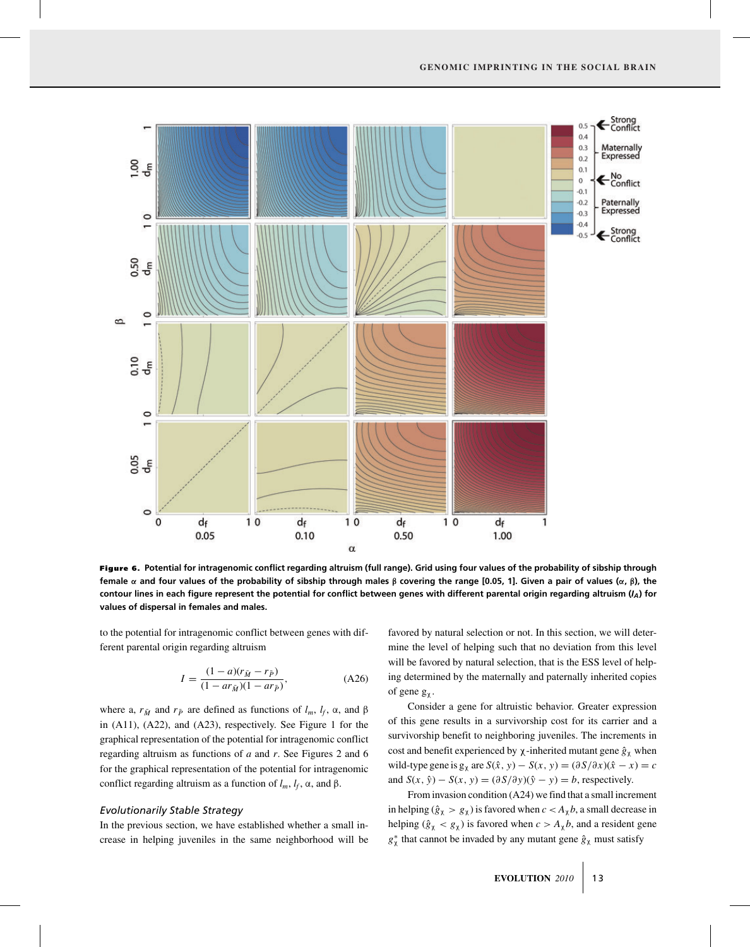

Figure 6. **Potential for intragenomic conflict regarding altruism (full range). Grid using four values of the probability of sibship through female α and four values of the probability of sibship through males β covering the range [0.05, 1]. Given a pair of values (α, β), the contour lines in each figure represent the potential for conflict between genes with different parental origin regarding altruism (***IA***) for values of dispersal in females and males.**

to the potential for intragenomic conflict between genes with different parental origin regarding altruism

$$
I = \frac{(1 - a)(r_{\bar{M}} - r_{\bar{P}})}{(1 - ar_{\bar{M}})(1 - ar_{\bar{P}})},
$$
(A26)

where a,  $r_{\bar{M}}$  and  $r_{\bar{P}}$  are defined as functions of  $l_m$ ,  $l_f$ ,  $\alpha$ , and  $\beta$ in (A11), (A22), and (A23), respectively. See Figure 1 for the graphical representation of the potential for intragenomic conflict regarding altruism as functions of *a* and *r*. See Figures 2 and 6 for the graphical representation of the potential for intragenomic conflict regarding altruism as a function of  $l_m$ ,  $l_f$ ,  $\alpha$ , and  $\beta$ .

## *Evolutionarily Stable Strategy*

In the previous section, we have established whether a small increase in helping juveniles in the same neighborhood will be favored by natural selection or not. In this section, we will determine the level of helping such that no deviation from this level will be favored by natural selection, that is the ESS level of helping determined by the maternally and paternally inherited copies of gene  $g_{\gamma}$ .

Consider a gene for altruistic behavior. Greater expression of this gene results in a survivorship cost for its carrier and a survivorship benefit to neighboring juveniles. The increments in cost and benefit experienced by  $\chi$ -inherited mutant gene  $\hat{g}_{\chi}$  when wild-type gene is  $g_\chi$  are  $S(\hat{x}, y) - S(x, y) = (\partial S/\partial x)(\hat{x} - x) = c$ and  $S(x, \hat{y}) - S(x, y) = (\partial S/\partial y)(\hat{y} - y) = b$ , respectively.

From invasion condition (A24) we find that a small increment in helping ( $\hat{g}_{\chi} > g_{\chi}$ ) is favored when  $c < A_{\chi}b$ , a small decrease in helping  $(\hat{g}_{\chi} < g_{\chi})$  is favored when  $c > A_{\chi}b$ , and a resident gene  $g^*_{\chi}$  that cannot be invaded by any mutant gene  $\hat{g}_{\chi}$  must satisfy